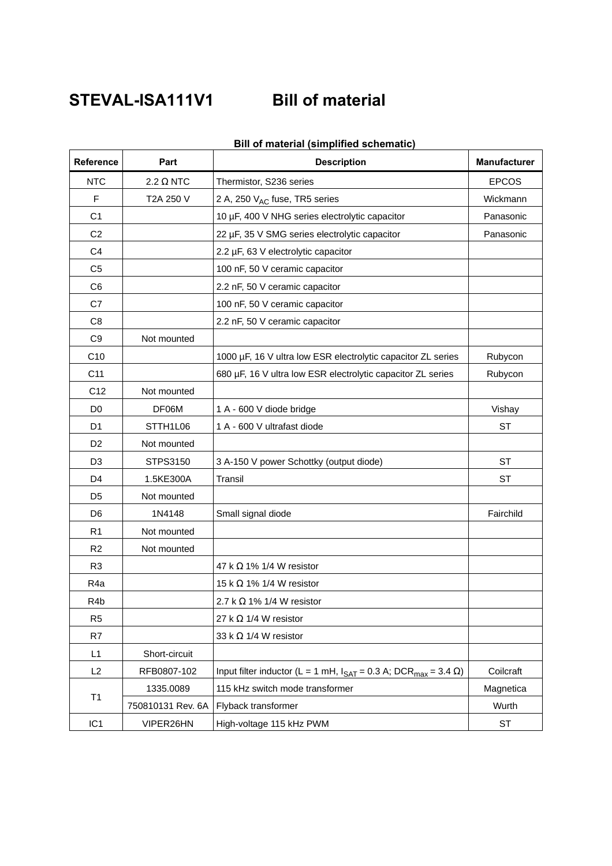## **STEVAL-ISA111V1 Bill of material**

| <b>Reference</b> | Part              | <b>Description</b>                                                                             | <b>Manufacturer</b> |
|------------------|-------------------|------------------------------------------------------------------------------------------------|---------------------|
| <b>NTC</b>       | $2.2 \Omega$ NTC  | Thermistor, S236 series                                                                        | <b>EPCOS</b>        |
| F                | T2A 250 V         | 2 A, 250 V <sub>AC</sub> fuse, TR5 series                                                      | Wickmann            |
| C <sub>1</sub>   |                   | 10 µF, 400 V NHG series electrolytic capacitor                                                 | Panasonic           |
| C <sub>2</sub>   |                   | 22 µF, 35 V SMG series electrolytic capacitor                                                  | Panasonic           |
| C <sub>4</sub>   |                   | 2.2 µF, 63 V electrolytic capacitor                                                            |                     |
| C <sub>5</sub>   |                   | 100 nF, 50 V ceramic capacitor                                                                 |                     |
| C <sub>6</sub>   |                   | 2.2 nF, 50 V ceramic capacitor                                                                 |                     |
| C7               |                   | 100 nF, 50 V ceramic capacitor                                                                 |                     |
| C <sub>8</sub>   |                   | 2.2 nF, 50 V ceramic capacitor                                                                 |                     |
| C <sub>9</sub>   | Not mounted       |                                                                                                |                     |
| C10              |                   | 1000 µF, 16 V ultra low ESR electrolytic capacitor ZL series                                   | Rubycon             |
| C11              |                   | 680 µF, 16 V ultra low ESR electrolytic capacitor ZL series                                    | Rubycon             |
| C <sub>12</sub>  | Not mounted       |                                                                                                |                     |
| D <sub>0</sub>   | DF06M             | 1 A - 600 V diode bridge                                                                       | Vishay              |
| D <sub>1</sub>   | STTH1L06          | 1 A - 600 V ultrafast diode                                                                    | <b>ST</b>           |
| D <sub>2</sub>   | Not mounted       |                                                                                                |                     |
| D <sub>3</sub>   | STPS3150          | 3 A-150 V power Schottky (output diode)                                                        | <b>ST</b>           |
| D4               | 1.5KE300A         | <b>Transil</b>                                                                                 | <b>ST</b>           |
| D <sub>5</sub>   | Not mounted       |                                                                                                |                     |
| D6               | 1N4148            | Small signal diode                                                                             | Fairchild           |
| R <sub>1</sub>   | Not mounted       |                                                                                                |                     |
| R2               | Not mounted       |                                                                                                |                     |
| R <sub>3</sub>   |                   | 47 k $\Omega$ 1% 1/4 W resistor                                                                |                     |
| R4a              |                   | 15 k $\Omega$ 1% 1/4 W resistor                                                                |                     |
| R <sub>4</sub> b |                   | 2.7 k $\Omega$ 1% 1/4 W resistor                                                               |                     |
| R <sub>5</sub>   |                   | 27 k $\Omega$ 1/4 W resistor                                                                   |                     |
| R7               |                   | 33 k $\Omega$ 1/4 W resistor                                                                   |                     |
| L1               | Short-circuit     |                                                                                                |                     |
| L2               | RFB0807-102       | Input filter inductor (L = 1 mH, $I_{\text{SAT}}$ = 0.3 A; DCR <sub>max</sub> = 3.4 $\Omega$ ) | Coilcraft           |
| T1               | 1335.0089         | 115 kHz switch mode transformer                                                                | Magnetica           |
|                  | 750810131 Rev. 6A | Flyback transformer                                                                            | Wurth               |
| IC <sub>1</sub>  | VIPER26HN         | High-voltage 115 kHz PWM                                                                       | $\textsf{ST}{}$     |

## **Bill of material (simplified schematic)**